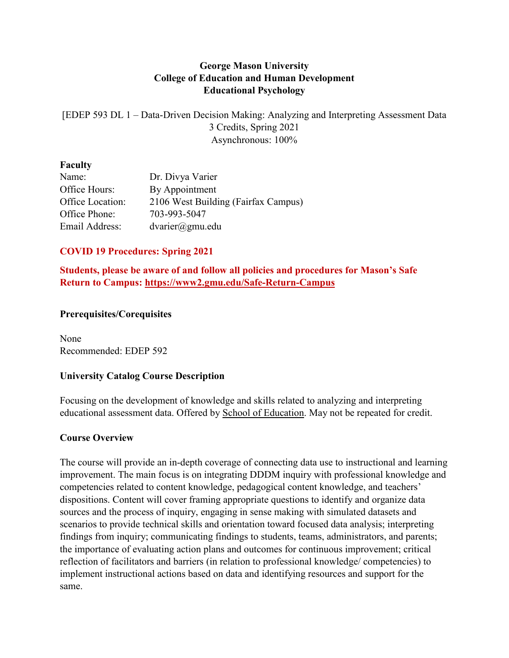# **George Mason University College of Education and Human Development Educational Psychology**

[EDEP 593 DL 1 – Data-Driven Decision Making: Analyzing and Interpreting Assessment Data 3 Credits, Spring 2021 Asynchronous: 100%

#### **Faculty**

| Dr. Divya Varier                    |
|-------------------------------------|
| By Appointment                      |
| 2106 West Building (Fairfax Campus) |
| 703-993-5047                        |
| $dvarier(\hat{a})$ gmu.edu          |
|                                     |

# **COVID 19 Procedures: Spring 2021**

**Students, please be aware of and follow all policies and procedures for Mason's Safe Return to Campus: <https://www2.gmu.edu/Safe-Return-Campus>**

## **Prerequisites/Corequisites**

None Recommended: EDEP 592

## **University Catalog Course Description**

Focusing on the development of knowledge and skills related to analyzing and interpreting educational assessment data. Offered by School of [Education.](https://catalog.gmu.edu/colleges-schools/education-human-development/school-education/) May not be repeated for credit.

# **Course Overview**

The course will provide an in-depth coverage of connecting data use to instructional and learning improvement. The main focus is on integrating DDDM inquiry with professional knowledge and competencies related to content knowledge, pedagogical content knowledge, and teachers' dispositions. Content will cover framing appropriate questions to identify and organize data sources and the process of inquiry, engaging in sense making with simulated datasets and scenarios to provide technical skills and orientation toward focused data analysis; interpreting findings from inquiry; communicating findings to students, teams, administrators, and parents; the importance of evaluating action plans and outcomes for continuous improvement; critical reflection of facilitators and barriers (in relation to professional knowledge/ competencies) to implement instructional actions based on data and identifying resources and support for the same.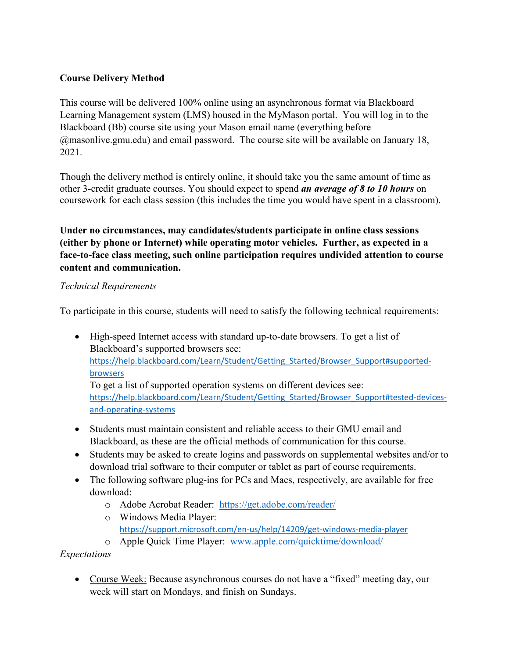# **Course Delivery Method**

This course will be delivered 100% online using an asynchronous format via Blackboard Learning Management system (LMS) housed in the MyMason portal. You will log in to the Blackboard (Bb) course site using your Mason email name (everything before @masonlive.gmu.edu) and email password. The course site will be available on January 18, 2021.

Though the delivery method is entirely online, it should take you the same amount of time as other 3-credit graduate courses. You should expect to spend *an average of 8 to 10 hours* on coursework for each class session (this includes the time you would have spent in a classroom).

**Under no circumstances, may candidates/students participate in online class sessions (either by phone or Internet) while operating motor vehicles. Further, as expected in a face-to-face class meeting, such online participation requires undivided attention to course content and communication.**

## *Technical Requirements*

To participate in this course, students will need to satisfy the following technical requirements:

• High-speed Internet access with standard up-to-date browsers. To get a list of Blackboard's supported browsers see: [https://help.blackboard.com/Learn/Student/Getting\\_Started/Browser\\_Support#supported](https://help.blackboard.com/Learn/Student/Getting_Started/Browser_Support#supported-browsers)[browsers](https://help.blackboard.com/Learn/Student/Getting_Started/Browser_Support#supported-browsers) To get a list of supported operation systems on different devices see:

[https://help.blackboard.com/Learn/Student/Getting\\_Started/Browser\\_Support#tested-devices](https://help.blackboard.com/Learn/Student/Getting_Started/Browser_Support#tested-devices-and-operating-systems)[and-operating-systems](https://help.blackboard.com/Learn/Student/Getting_Started/Browser_Support#tested-devices-and-operating-systems)

- Students must maintain consistent and reliable access to their GMU email and Blackboard, as these are the official methods of communication for this course.
- Students may be asked to create logins and passwords on supplemental websites and/or to download trial software to their computer or tablet as part of course requirements.
- The following software plug-ins for PCs and Macs, respectively, are available for free download:
	- o Adobe Acrobat Reader: <https://get.adobe.com/reader/>
	- o Windows Media Player: <https://support.microsoft.com/en-us/help/14209/get-windows-media-player>
	- o Apple Quick Time Player: [www.apple.com/quicktime/download/](http://www.apple.com/quicktime/download/)

## *Expectations*

• Course Week: Because asynchronous courses do not have a "fixed" meeting day, our week will start on Mondays, and finish on Sundays.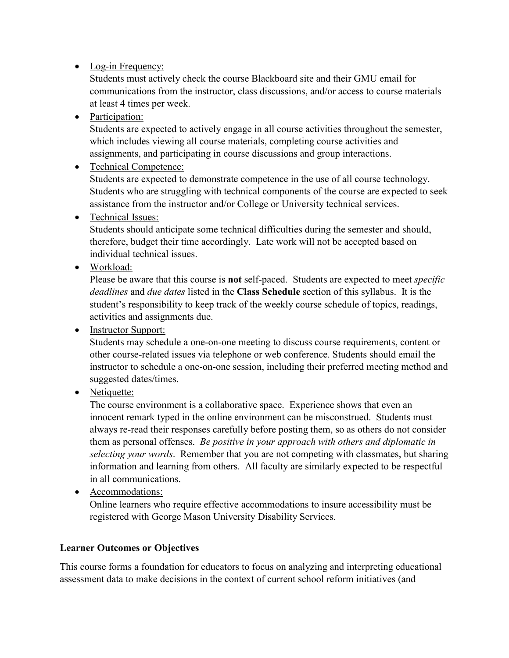# • Log-in Frequency:

Students must actively check the course Blackboard site and their GMU email for communications from the instructor, class discussions, and/or access to course materials at least 4 times per week.

• Participation:

Students are expected to actively engage in all course activities throughout the semester, which includes viewing all course materials, completing course activities and assignments, and participating in course discussions and group interactions.

# • Technical Competence:

Students are expected to demonstrate competence in the use of all course technology. Students who are struggling with technical components of the course are expected to seek assistance from the instructor and/or College or University technical services.

• Technical Issues:

Students should anticipate some technical difficulties during the semester and should, therefore, budget their time accordingly. Late work will not be accepted based on individual technical issues.

• Workload:

Please be aware that this course is **not** self-paced. Students are expected to meet *specific deadlines* and *due dates* listed in the **Class Schedule** section of this syllabus. It is the student's responsibility to keep track of the weekly course schedule of topics, readings, activities and assignments due.

• Instructor Support:

Students may schedule a one-on-one meeting to discuss course requirements, content or other course-related issues via telephone or web conference. Students should email the instructor to schedule a one-on-one session, including their preferred meeting method and suggested dates/times.

• Netiquette:

The course environment is a collaborative space. Experience shows that even an innocent remark typed in the online environment can be misconstrued. Students must always re-read their responses carefully before posting them, so as others do not consider them as personal offenses. *Be positive in your approach with others and diplomatic in selecting your words*. Remember that you are not competing with classmates, but sharing information and learning from others. All faculty are similarly expected to be respectful in all communications.

• Accommodations:

Online learners who require effective accommodations to insure accessibility must be registered with George Mason University Disability Services.

# **Learner Outcomes or Objectives**

This course forms a foundation for educators to focus on analyzing and interpreting educational assessment data to make decisions in the context of current school reform initiatives (and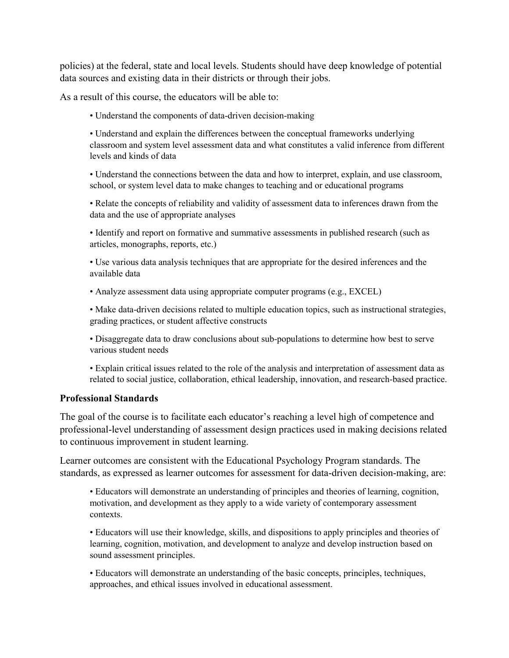policies) at the federal, state and local levels. Students should have deep knowledge of potential data sources and existing data in their districts or through their jobs.

As a result of this course, the educators will be able to:

• Understand the components of data-driven decision-making

• Understand and explain the differences between the conceptual frameworks underlying classroom and system level assessment data and what constitutes a valid inference from different levels and kinds of data

• Understand the connections between the data and how to interpret, explain, and use classroom, school, or system level data to make changes to teaching and or educational programs

• Relate the concepts of reliability and validity of assessment data to inferences drawn from the data and the use of appropriate analyses

• Identify and report on formative and summative assessments in published research (such as articles, monographs, reports, etc.)

• Use various data analysis techniques that are appropriate for the desired inferences and the available data

• Analyze assessment data using appropriate computer programs (e.g., EXCEL)

• Make data-driven decisions related to multiple education topics, such as instructional strategies, grading practices, or student affective constructs

• Disaggregate data to draw conclusions about sub-populations to determine how best to serve various student needs

• Explain critical issues related to the role of the analysis and interpretation of assessment data as related to social justice, collaboration, ethical leadership, innovation, and research-based practice.

#### **Professional Standards**

The goal of the course is to facilitate each educator's reaching a level high of competence and professional-level understanding of assessment design practices used in making decisions related to continuous improvement in student learning.

Learner outcomes are consistent with the Educational Psychology Program standards. The standards, as expressed as learner outcomes for assessment for data-driven decision-making, are:

• Educators will demonstrate an understanding of principles and theories of learning, cognition, motivation, and development as they apply to a wide variety of contemporary assessment contexts.

• Educators will use their knowledge, skills, and dispositions to apply principles and theories of learning, cognition, motivation, and development to analyze and develop instruction based on sound assessment principles.

• Educators will demonstrate an understanding of the basic concepts, principles, techniques, approaches, and ethical issues involved in educational assessment.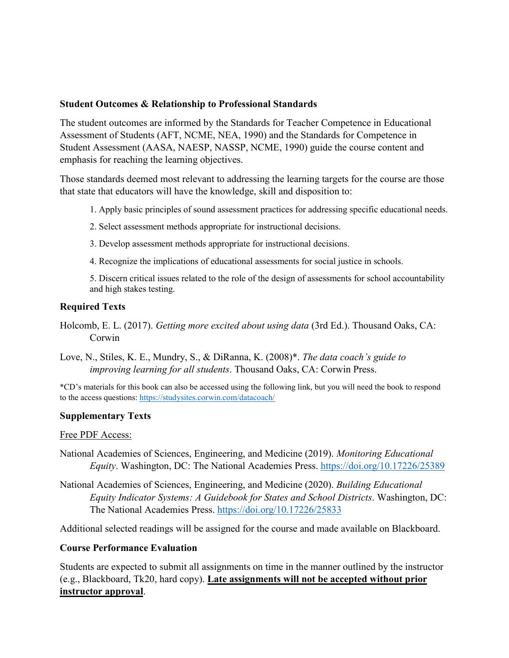#### **Student Outcomes & Relationship to Professional Standards**

The student outcomes are informed by the Standards for Teacher Competence in Educational Assessment of Students (AFT, NCME, NEA, 1990) and the Standards for Competence in Student Assessment (AASA, NAESP, NASSP, NCME, 1990) guide the course content and emphasis for reaching the learning objectives.

Those standards deemed most relevant to addressing the learning targets for the course are those that state that educators will have the knowledge, skill and disposition to:

- 1. Apply basic principles of sound assessment practices for addressing specific educational needs.
- 2. Select assessment methods appropriate for instructional decisions.
- 3. Develop assessment methods appropriate for instructional decisions.
- 4. Recognize the implications of educational assessments for social justice in schools.

5. Discern critical issues related to the role of the design of assessments for school accountability and high stakes testing.

# **Required Texts**

- Holcomb, E. L. (2017). *Getting more excited about using data* (3rd Ed.). Thousand Oaks, CA: Corwin
- Love, N., Stiles, K. E., Mundry, S., & DiRanna, K. (2008)\*. *The data coach's guide to improving learning for all students*. Thousand Oaks, CA: Corwin Press.

\*CD's materials for this book can also be accessed using the following link, but you will need the book to respond to the access questions:<https://studysites.corwin.com/datacoach/>

## **Supplementary Texts**

#### Free PDF Access:

- National Academies of Sciences, Engineering, and Medicine (2019). *Monitoring Educational Equity*. Washington, DC: The National Academies Press.<https://doi.org/10.17226/25389>
- National Academies of Sciences, Engineering, and Medicine (2020). *Building Educational Equity Indicator Systems: A Guidebook for States and School Districts*. Washington, DC: The National Academies Press.<https://doi.org/10.17226/25833>

Additional selected readings will be assigned for the course and made available on Blackboard.

## **Course Performance Evaluation**

Students are expected to submit all assignments on time in the manner outlined by the instructor (e.g., Blackboard, Tk20, hard copy). **Late assignments will not be accepted without prior instructor approval**.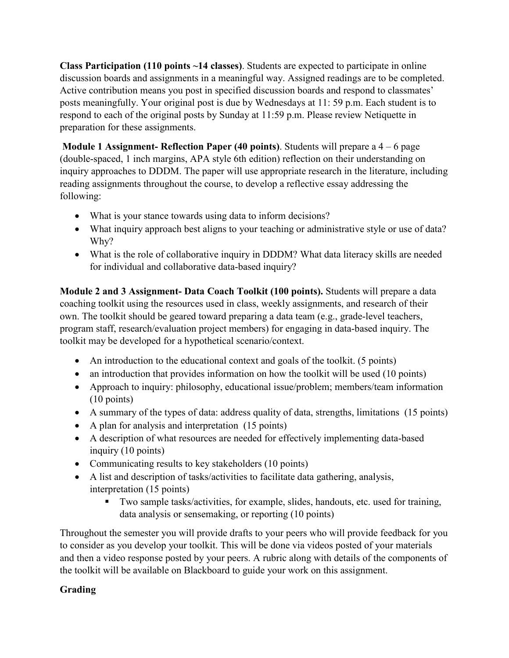**Class Participation (110 points ~14 classes)**. Students are expected to participate in online discussion boards and assignments in a meaningful way. Assigned readings are to be completed. Active contribution means you post in specified discussion boards and respond to classmates' posts meaningfully. Your original post is due by Wednesdays at 11: 59 p.m. Each student is to respond to each of the original posts by Sunday at 11:59 p.m. Please review Netiquette in preparation for these assignments.

**Module 1 Assignment- Reflection Paper (40 points)**. Students will prepare a 4 – 6 page (double-spaced, 1 inch margins, APA style 6th edition) reflection on their understanding on inquiry approaches to DDDM. The paper will use appropriate research in the literature, including reading assignments throughout the course, to develop a reflective essay addressing the following:

- What is your stance towards using data to inform decisions?
- What inquiry approach best aligns to your teaching or administrative style or use of data? Why?
- What is the role of collaborative inquiry in DDDM? What data literacy skills are needed for individual and collaborative data-based inquiry?

**Module 2 and 3 Assignment- Data Coach Toolkit (100 points).** Students will prepare a data coaching toolkit using the resources used in class, weekly assignments, and research of their own. The toolkit should be geared toward preparing a data team (e.g., grade-level teachers, program staff, research/evaluation project members) for engaging in data-based inquiry. The toolkit may be developed for a hypothetical scenario/context.

- An introduction to the educational context and goals of the toolkit. (5 points)
- an introduction that provides information on how the toolkit will be used (10 points)
- Approach to inquiry: philosophy, educational issue/problem; members/team information (10 points)
- A summary of the types of data: address quality of data, strengths, limitations (15 points)
- A plan for analysis and interpretation (15 points)
- A description of what resources are needed for effectively implementing data-based inquiry (10 points)
- Communicating results to key stakeholders (10 points)
- A list and description of tasks/activities to facilitate data gathering, analysis, interpretation (15 points)
	- Two sample tasks/activities, for example, slides, handouts, etc. used for training, data analysis or sensemaking, or reporting (10 points)

Throughout the semester you will provide drafts to your peers who will provide feedback for you to consider as you develop your toolkit. This will be done via videos posted of your materials and then a video response posted by your peers. A rubric along with details of the components of the toolkit will be available on Blackboard to guide your work on this assignment.

# **Grading**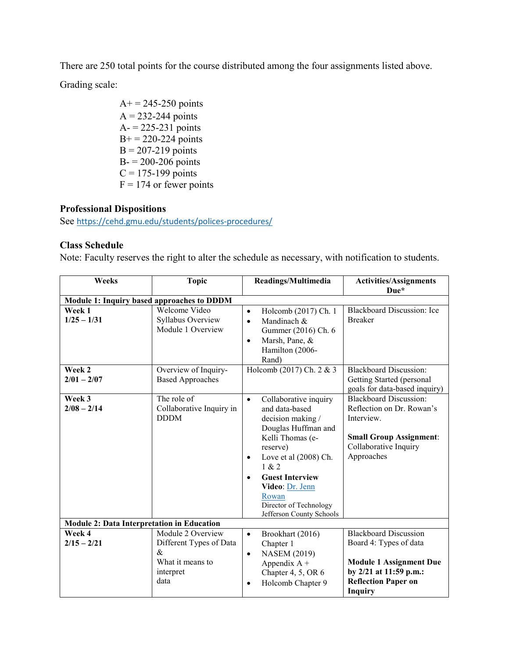There are 250 total points for the course distributed among the four assignments listed above. Grading scale:

> $A+= 245 - 250$  points  $A = 232-244$  points  $A = 225 - 231$  points  $B<sup>+</sup> = 220-224$  points  $B = 207-219$  points  $B = 200 - 206$  points  $C = 175 - 199$  points  $F = 174$  or fewer points

## **Professional Dispositions**

See <https://cehd.gmu.edu/students/polices-procedures/>

### **Class Schedule**

Note: Faculty reserves the right to alter the schedule as necessary, with notification to students.

| Weeks                                             | <b>Topic</b>             | Readings/Multimedia                  | <b>Activities/Assignments</b>     |
|---------------------------------------------------|--------------------------|--------------------------------------|-----------------------------------|
|                                                   |                          |                                      | Due*                              |
| Module 1: Inquiry based approaches to DDDM        |                          |                                      |                                   |
| Week 1                                            | Welcome Video            | Holcomb (2017) Ch. 1<br>$\bullet$    | <b>Blackboard Discussion: Ice</b> |
| $1/25 - 1/31$                                     | Syllabus Overview        | Mandinach &<br>$\bullet$             | <b>Breaker</b>                    |
|                                                   | Module 1 Overview        | Gummer (2016) Ch. 6                  |                                   |
|                                                   |                          | Marsh, Pane, &<br>$\bullet$          |                                   |
|                                                   |                          | Hamilton (2006-                      |                                   |
|                                                   |                          | Rand)                                |                                   |
| Week 2                                            | Overview of Inquiry-     | Holcomb (2017) Ch. 2 & 3             | <b>Blackboard Discussion:</b>     |
| $2/01 - 2/07$                                     | <b>Based Approaches</b>  |                                      | Getting Started (personal         |
|                                                   |                          |                                      | goals for data-based inquiry)     |
| Week 3                                            | The role of              | Collaborative inquiry<br>$\bullet$   | <b>Blackboard Discussion:</b>     |
| $2/08 - 2/14$                                     | Collaborative Inquiry in | and data-based                       | Reflection on Dr. Rowan's         |
|                                                   | <b>DDDM</b>              | decision making /                    | Interview.                        |
|                                                   |                          | Douglas Huffman and                  |                                   |
|                                                   |                          | Kelli Thomas (e-                     | <b>Small Group Assignment:</b>    |
|                                                   |                          | reserve)                             | Collaborative Inquiry             |
|                                                   |                          | Love et al $(2008)$ Ch.<br>$\bullet$ | Approaches                        |
|                                                   |                          | 1 & 2                                |                                   |
|                                                   |                          | <b>Guest Interview</b><br>$\bullet$  |                                   |
|                                                   |                          | Video: Dr. Jenn                      |                                   |
|                                                   |                          | Rowan                                |                                   |
|                                                   |                          | Director of Technology               |                                   |
|                                                   |                          | Jefferson County Schools             |                                   |
| <b>Module 2: Data Interpretation in Education</b> |                          |                                      |                                   |
| Week 4                                            | Module 2 Overview        | Brookhart (2016)<br>$\bullet$        | <b>Blackboard Discussion</b>      |
| $2/15 - 2/21$                                     | Different Types of Data  | Chapter 1                            | Board 4: Types of data            |
|                                                   | $\&$                     | <b>NASEM (2019)</b><br>$\bullet$     |                                   |
|                                                   | What it means to         | Appendix $A +$                       | <b>Module 1 Assignment Due</b>    |
|                                                   | interpret                | Chapter 4, 5, OR 6                   | by 2/21 at 11:59 p.m.:            |
|                                                   | data                     | Holcomb Chapter 9<br>$\bullet$       | <b>Reflection Paper on</b>        |
|                                                   |                          |                                      | <b>Inquiry</b>                    |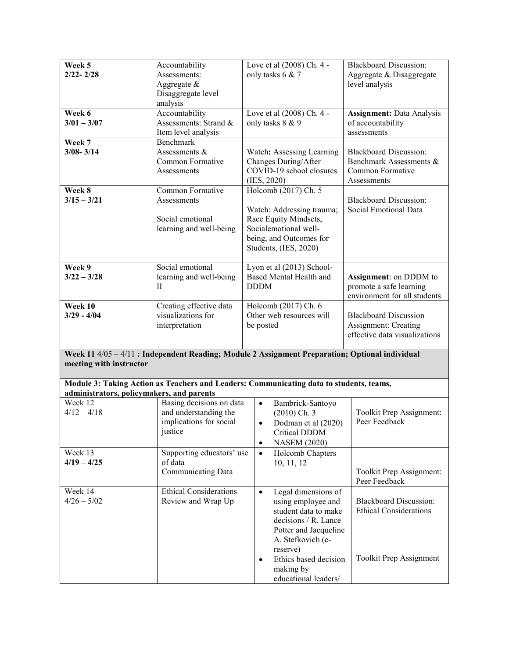| Week 5<br>$2/22 - 2/28$                                                                                                    | Accountability<br>Assessments:<br>Aggregate $\&$                |                                                                                                                                 | Love et al (2008) Ch. 4 -<br>only tasks 6 & 7                                                                                                                                                          | <b>Blackboard Discussion:</b><br>Aggregate & Disaggregate<br>level analysis                 |  |  |  |
|----------------------------------------------------------------------------------------------------------------------------|-----------------------------------------------------------------|---------------------------------------------------------------------------------------------------------------------------------|--------------------------------------------------------------------------------------------------------------------------------------------------------------------------------------------------------|---------------------------------------------------------------------------------------------|--|--|--|
|                                                                                                                            | Disaggregate level<br>analysis                                  |                                                                                                                                 |                                                                                                                                                                                                        |                                                                                             |  |  |  |
| Week 6<br>$3/01 - 3/07$                                                                                                    | Accountability<br>Assessments: Strand &<br>Item level analysis  |                                                                                                                                 | Love et al (2008) Ch. 4 -<br>only tasks 8 & 9                                                                                                                                                          | <b>Assignment: Data Analysis</b><br>of accountability<br>assessments                        |  |  |  |
| Week 7                                                                                                                     | Benchmark                                                       |                                                                                                                                 |                                                                                                                                                                                                        |                                                                                             |  |  |  |
| $3/08 - 3/14$                                                                                                              | Assessments $&$<br>Common Formative<br>Assessments              |                                                                                                                                 | Watch: Assessing Learning<br>Changes During/After<br>COVID-19 school closures<br>(IES, 2020)                                                                                                           | <b>Blackboard Discussion:</b><br>Benchmark Assessments &<br>Common Formative<br>Assessments |  |  |  |
| Week 8                                                                                                                     | Common Formative                                                |                                                                                                                                 | Holcomb (2017) Ch. 5                                                                                                                                                                                   |                                                                                             |  |  |  |
| $3/15 - 3/21$                                                                                                              | Assessments<br>Social emotional<br>learning and well-being      | Watch: Addressing trauma;<br>Race Equity Mindsets,<br>Socialemotional well-<br>being, and Outcomes for<br>Students, (IES, 2020) |                                                                                                                                                                                                        | <b>Blackboard Discussion:</b><br>Social Emotional Data                                      |  |  |  |
| Week 9<br>$3/22 - 3/28$                                                                                                    | Social emotional<br>learning and well-being<br>$\rm II$         |                                                                                                                                 | Lyon et al (2013) School-<br>Based Mental Health and<br><b>DDDM</b>                                                                                                                                    | Assignment: on DDDM to<br>promote a safe learning<br>environment for all students           |  |  |  |
| Week 10<br>$3/29 - 4/04$                                                                                                   | Creating effective data<br>visualizations for<br>interpretation | Holcomb (2017) Ch. 6<br>Other web resources will<br>be posted                                                                   |                                                                                                                                                                                                        | <b>Blackboard Discussion</b><br>Assignment: Creating<br>effective data visualizations       |  |  |  |
| Week 11 4/05 - 4/11 : Independent Reading; Module 2 Assignment Preparation; Optional individual<br>meeting with instructor |                                                                 |                                                                                                                                 |                                                                                                                                                                                                        |                                                                                             |  |  |  |
| administrators, policymakers, and parents                                                                                  |                                                                 |                                                                                                                                 | Module 3: Taking Action as Teachers and Leaders: Communicating data to students, teams,                                                                                                                |                                                                                             |  |  |  |
| Week 12                                                                                                                    | Basing decisions on data                                        |                                                                                                                                 | Bambrick-Santoyo<br>$\bullet$                                                                                                                                                                          |                                                                                             |  |  |  |
| $4/12 - 4/18$                                                                                                              | and understanding the<br>implications for social<br>justice     |                                                                                                                                 | $(2010)$ Ch. 3<br>Dodman et al (2020)<br>Critical DDDM<br><b>NASEM (2020)</b><br>$\bullet$                                                                                                             | Toolkit Prep Assignment:<br>Peer Feedback                                                   |  |  |  |
| Week 13                                                                                                                    | Supporting educators' use                                       |                                                                                                                                 | Holcomb Chapters<br>$\bullet$                                                                                                                                                                          |                                                                                             |  |  |  |
| $4/19 - 4/25$                                                                                                              | of data<br>Communicating Data                                   |                                                                                                                                 | 10, 11, 12                                                                                                                                                                                             | Toolkit Prep Assignment:<br>Peer Feedback                                                   |  |  |  |
| Week 14<br>$4/26 - 5/02$                                                                                                   | Ethical Considerations<br>Review and Wrap Up                    |                                                                                                                                 | Legal dimensions of<br>$\bullet$<br>using employee and<br>student data to make<br>decisions / R. Lance<br>Potter and Jacqueline<br>A. Stefkovich (e-<br>reserve)<br>Ethics based decision<br>$\bullet$ | <b>Blackboard Discussion:</b><br><b>Ethical Considerations</b><br>Toolkit Prep Assignment   |  |  |  |
|                                                                                                                            |                                                                 |                                                                                                                                 | making by<br>educational leaders/                                                                                                                                                                      |                                                                                             |  |  |  |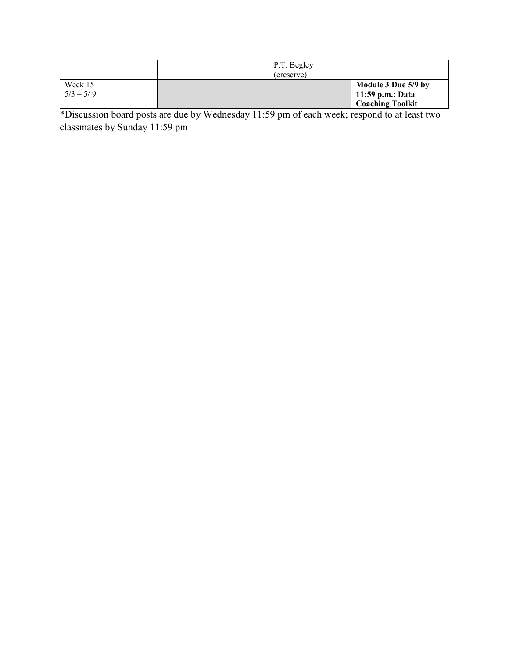|                        | P.T. Begley<br>(ereserve) |                                                                      |
|------------------------|---------------------------|----------------------------------------------------------------------|
| Week 15<br>$5/3 - 5/9$ |                           | Module 3 Due 5/9 by<br>  11:59 p.m.: Data<br><b>Coaching Toolkit</b> |

\*Discussion board posts are due by Wednesday 11:59 pm of each week; respond to at least two classmates by Sunday 11:59 pm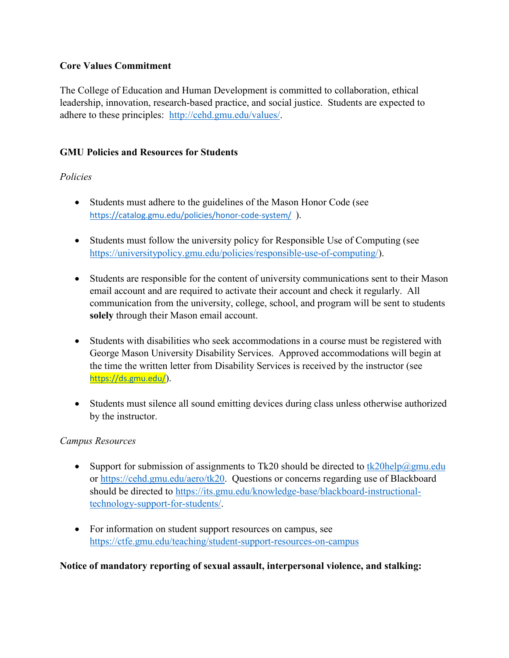## **Core Values Commitment**

The College of Education and Human Development is committed to collaboration, ethical leadership, innovation, research-based practice, and social justice. Students are expected to adhere to these principles: [http://cehd.gmu.edu/values/.](http://cehd.gmu.edu/values/)

## **GMU Policies and Resources for Students**

# *Policies*

- Students must adhere to the guidelines of the Mason Honor Code (see <https://catalog.gmu.edu/policies/honor-code-system/>).
- Students must follow the university policy for Responsible Use of Computing (see [https://universitypolicy.gmu.edu/policies/responsible-use-of-computing/\)](https://universitypolicy.gmu.edu/policies/responsible-use-of-computing/).
- Students are responsible for the content of university communications sent to their Mason email account and are required to activate their account and check it regularly. All communication from the university, college, school, and program will be sent to students **solely** through their Mason email account.
- Students with disabilities who seek accommodations in a course must be registered with George Mason University Disability Services. Approved accommodations will begin at the time the written letter from Disability Services is received by the instructor (see <https://ds.gmu.edu/>).
- Students must silence all sound emitting devices during class unless otherwise authorized by the instructor.

## *Campus Resources*

- Support for submission of assignments to Tk20 should be directed to [tk20help@gmu.edu](mailto:tk20help@gmu.edu) or [https://cehd.gmu.edu/aero/tk20.](https://cehd.gmu.edu/aero/tk20) Questions or concerns regarding use of Blackboard should be directed to [https://its.gmu.edu/knowledge-base/blackboard-instructional](https://its.gmu.edu/knowledge-base/blackboard-instructional-technology-support-for-students/)[technology-support-for-students/.](https://its.gmu.edu/knowledge-base/blackboard-instructional-technology-support-for-students/)
- For information on student support resources on campus, see <https://ctfe.gmu.edu/teaching/student-support-resources-on-campus>

## **Notice of mandatory reporting of sexual assault, interpersonal violence, and stalking:**